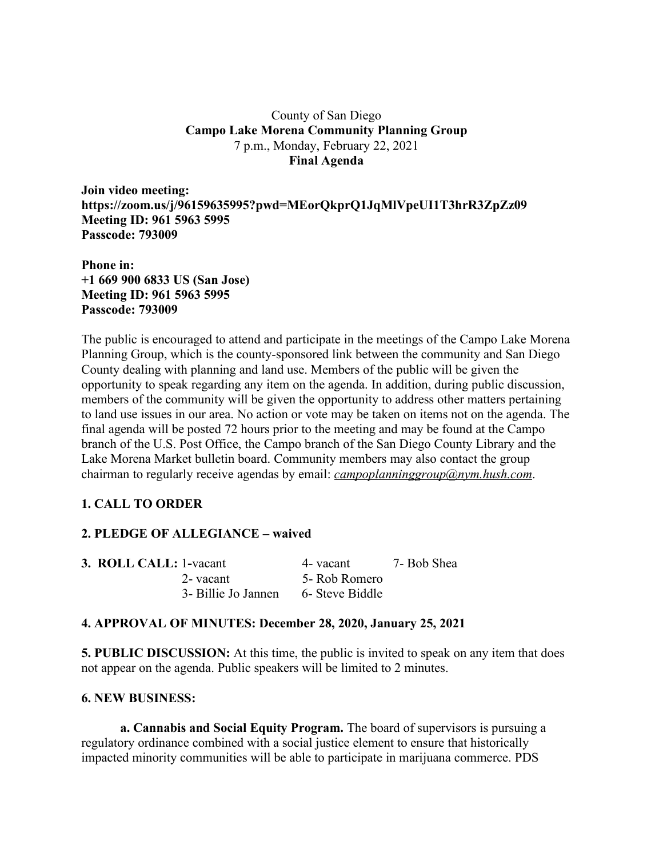## County of San Diego **Campo Lake Morena Community Planning Group** 7 p.m., Monday, February 22, 2021 **Final Agenda**

**Join video meeting: https://zoom.us/j/96159635995?pwd=MEorQkprQ1JqMlVpeUI1T3hrR3ZpZz09 Meeting ID: 961 5963 5995 Passcode: 793009**

**Phone in: +1 669 900 6833 US (San Jose) Meeting ID: 961 5963 5995 Passcode: 793009**

The public is encouraged to attend and participate in the meetings of the Campo Lake Morena Planning Group, which is the county-sponsored link between the community and San Diego County dealing with planning and land use. Members of the public will be given the opportunity to speak regarding any item on the agenda. In addition, during public discussion, members of the community will be given the opportunity to address other matters pertaining to land use issues in our area. No action or vote may be taken on items not on the agenda. The final agenda will be posted 72 hours prior to the meeting and may be found at the Campo branch of the U.S. Post Office, the Campo branch of the San Diego County Library and the Lake Morena Market bulletin board. Community members may also contact the group chairman to regularly receive agendas by email: *campoplanninggroup@nym.hush.com*.

# **1. CALL TO ORDER**

# **2. PLEDGE OF ALLEGIANCE – waived**

| <b>3. ROLL CALL: 1-vacant</b> |                     | 4- vacant       | 7- Bob Shea |
|-------------------------------|---------------------|-----------------|-------------|
|                               | 2- vacant           | 5- Rob Romero   |             |
|                               | 3- Billie Jo Jannen | 6- Steve Biddle |             |

### **4. APPROVAL OF MINUTES: December 28, 2020, January 25, 2021**

**5. PUBLIC DISCUSSION:** At this time, the public is invited to speak on any item that does not appear on the agenda. Public speakers will be limited to 2 minutes.

### **6. NEW BUSINESS:**

**a. Cannabis and Social Equity Program.** The board of supervisors is pursuing a regulatory ordinance combined with a social justice element to ensure that historically impacted minority communities will be able to participate in marijuana commerce. PDS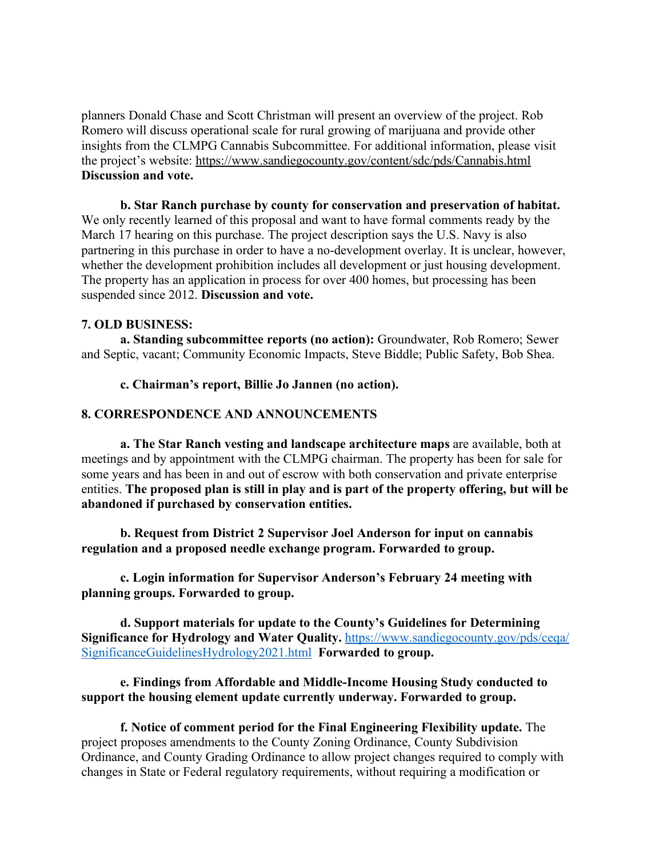planners Donald Chase and Scott Christman will present an overview of the project. Rob Romero will discuss operational scale for rural growing of marijuana and provide other insights from the CLMPG Cannabis Subcommittee. For additional information, please visit the project's website: https://www.sandiegocounty.gov/content/sdc/pds/Cannabis.html **Discussion and vote.**

**b. Star Ranch purchase by county for conservation and preservation of habitat.** We only recently learned of this proposal and want to have formal comments ready by the March 17 hearing on this purchase. The project description says the U.S. Navy is also partnering in this purchase in order to have a no-development overlay. It is unclear, however, whether the development prohibition includes all development or just housing development. The property has an application in process for over 400 homes, but processing has been suspended since 2012. **Discussion and vote.**

#### **7. OLD BUSINESS:**

**a. Standing subcommittee reports (no action):** Groundwater, Rob Romero; Sewer and Septic, vacant; Community Economic Impacts, Steve Biddle; Public Safety, Bob Shea.

**c. Chairman's report, Billie Jo Jannen (no action).**

#### **8. CORRESPONDENCE AND ANNOUNCEMENTS**

**a. The Star Ranch vesting and landscape architecture maps** are available, both at meetings and by appointment with the CLMPG chairman. The property has been for sale for some years and has been in and out of escrow with both conservation and private enterprise entities. **The proposed plan is still in play and is part of the property offering, but will be abandoned if purchased by conservation entities.**

**b. Request from District 2 Supervisor Joel Anderson for input on cannabis regulation and a proposed needle exchange program. Forwarded to group.**

**c. Login information for Supervisor Anderson's February 24 meeting with planning groups. Forwarded to group.**

**d. Support materials for update to the County's Guidelines for Determining Significance for Hydrology and Water Quality.** https://www.sandiegocounty.gov/pds/ceqa/ SignificanceGuidelinesHydrology2021.html **Forwarded to group.**

### **e. Findings from Affordable and Middle-Income Housing Study conducted to support the housing element update currently underway. Forwarded to group.**

**f. Notice of comment period for the Final Engineering Flexibility update.** The project proposes amendments to the County Zoning Ordinance, County Subdivision Ordinance, and County Grading Ordinance to allow project changes required to comply with changes in State or Federal regulatory requirements, without requiring a modification or